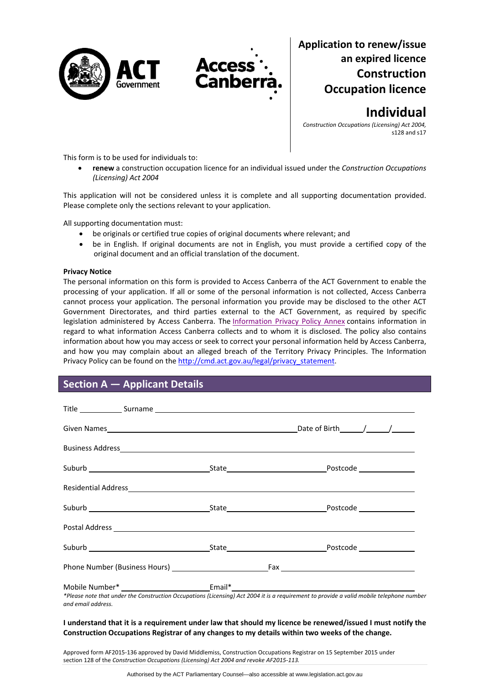



# **Application to renew/issue an expired licence Construction Occupation licence**

**Individual**

*Construction Occupations (Licensing) Act 2004,* s128 and s17

This form is to be used for individuals to:

 **renew** a construction occupation licence for an individual issued under the *Construction Occupations (Licensing) Act 2004*

This application will not be considered unless it is complete and all supporting documentation provided. Please complete only the sections relevant to your application.

All supporting documentation must:

- be originals or certified true copies of original documents where relevant; and
- be in English. If original documents are not in English, you must provide a certified copy of the original document and an official translation of the document.

### **Privacy Notice**

The personal information on this form is provided to Access Canberra of the ACT Government to enable the processing of your application. If all or some of the personal information is not collected, Access Canberra cannot process your application. The personal information you provide may be disclosed to the other ACT Government Directorates, and third parties external to the ACT Government, as required by specific legislation administered by Access Canberra. The [Information](http://www.environment.act.gov.au/__data/assets/pdf_file/0006/633741/Information-Privacy-Policy-Annex.pdf) Privacy Policy Annex contains information in regard to what information Access Canberra collects and to whom it is disclosed. The policy also contains information about how you may access or seek to correct your personal information held by Access Canberra, and how you may complain about an alleged breach of the Territory Privacy Principles. The Information Privacy Policy can be found on the [http://cmd.act.gov.au/legal/privacy\\_statement.](http://cmd.act.gov.au/legal/privacy_statement)

## **Section A — Applicant Details**

|                    | Residential Address <b>Contract Contract Contract Contract Contract Contract Contract Contract Contract Contract Contract Contract Contract Contract Contract Contract Contract Contract Contract Contract Contract Contract Con</b> |
|--------------------|--------------------------------------------------------------------------------------------------------------------------------------------------------------------------------------------------------------------------------------|
|                    |                                                                                                                                                                                                                                      |
|                    |                                                                                                                                                                                                                                      |
|                    |                                                                                                                                                                                                                                      |
|                    |                                                                                                                                                                                                                                      |
| and email address. | *Please note that under the Construction Occupations (Licensing) Act 2004 it is a requirement to provide a valid mobile telephone number                                                                                             |

### I understand that it is a requirement under law that should my licence be renewed/issued I must notify the **Construction Occupations Registrar of any changes to my details within two weeks of the change.**

Approved form AF2015‐136 approved by David Middlemiss, Construction Occupations Registrar on 15 September 2015 under section 128 of the *Construction Occupations (Licensing) Act 2004 and revoke AF2015‐113.*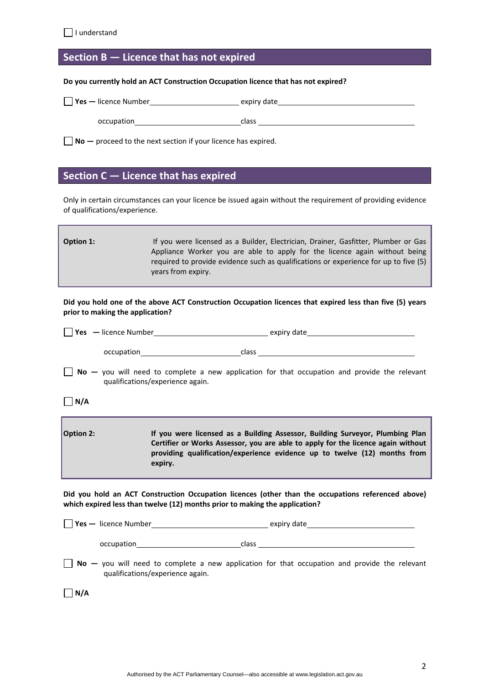## **Section B — Licence that has not expired**

**Do you currently hold an ACT Construction Occupation licence that has not expired?**

| $\vert$ Yes — licence Number | expiry date |
|------------------------------|-------------|
| occupation                   | class       |

**No —** proceed to the next section if your licence has expired.

### **Section C — Licence that has expired**

Only in certain circumstances can your licence be issued again without the requirement of providing evidence of qualifications/experience.

| Option 1: | If you were licensed as a Builder, Electrician, Drainer, Gasfitter, Plumber or Gas   |
|-----------|--------------------------------------------------------------------------------------|
|           | Appliance Worker you are able to apply for the licence again without being           |
|           | required to provide evidence such as qualifications or experience for up to five (5) |
|           | years from expiry.                                                                   |

Did you hold one of the above ACT Construction Occupation licences that expired less than five (5) years **prior to making the application?**

| $\vert \ \vert$ <b>Yes</b> $\ -$ licence Number | expiry date |
|-------------------------------------------------|-------------|
|                                                 |             |
| occupation                                      | class       |

**No** – you will need to complete a new application for that occupation and provide the relevant qualifications/experience again.

**N/A**

| <b>Option 2:</b> | If you were licensed as a Building Assessor, Building Surveyor, Plumbing Plan<br>Certifier or Works Assessor, you are able to apply for the licence again without |
|------------------|-------------------------------------------------------------------------------------------------------------------------------------------------------------------|
|                  | providing qualification/experience evidence up to twelve (12) months from<br>expiry.                                                                              |

**Did you hold an ACT Construction Occupation licences (other than the occupations referenced above) which expired less than twelve (12) months prior to making the application?**

| $\forall$ es — licence Number    | expiry date                                                                                            |
|----------------------------------|--------------------------------------------------------------------------------------------------------|
| occupation                       | class                                                                                                  |
| qualifications/experience again. | $\text{No}$ — you will need to complete a new application for that occupation and provide the relevant |

 $\Box$ **N/A**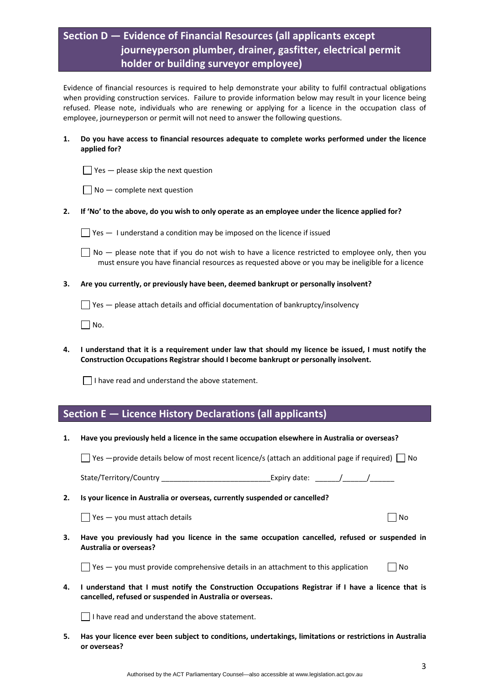# **Section D — Evidence of Financial Resources (all applicants except journeyperson plumber, drainer, gasfitter, electrical permit holder or building surveyor employee)**

Evidence of financial resources is required to help demonstrate your ability to fulfil contractual obligations when providing construction services. Failure to provide information below may result in your licence being refused. Please note, individuals who are renewing or applying for a licence in the occupation class of employee, journeyperson or permit will not need to answer the following questions.

- **1. Do you have access to financial resources adequate to complete works performed under the licence applied for?** 
	- $\Box$  Yes  $-$  please skip the next question
	- $\Box$  No  $-$  complete next question
- 2. If 'No' to the above, do you wish to only operate as an employee under the licence applied for?

 $\Box$  Yes  $-$  1 understand a condition may be imposed on the licence if issued

 $\Box$  No  $-$  please note that if you do not wish to have a licence restricted to employee only, then you must ensure you have financial resources as requested above or you may be ineligible for a licence

**3. Are you currently, or previously have been, deemed bankrupt or personally insolvent?** 

 $\Box$  Yes  $-$  please attach details and official documentation of bankruptcy/insolvency

 $\Box$  No.

4. I understand that it is a requirement under law that should my licence be issued, I must notify the **Construction Occupations Registrar should I become bankrupt or personally insolvent.** 

 $\Box$  I have read and understand the above statement.

### **Section E — Licence History Declarations (all applicants)**

**1. Have you previously held a licence in the same occupation elsewhere in Australia or overseas?** 

 $\Box$  Yes —provide details below of most recent licence/s (attach an additional page if required)  $\Box$  No

State/Territory/Country \_\_\_\_\_\_\_\_\_\_\_\_\_\_\_\_\_\_\_\_\_\_\_\_\_\_\_Expiry date: \_\_\_\_\_\_/\_\_\_\_\_\_/\_\_\_\_\_\_

**2. Is your licence in Australia or overseas, currently suspended or cancelled?** 

 $\Box$  Yes — you must attach details  $\Box$  No

**3. Have you previously had you licence in the same occupation cancelled, refused or suspended in Australia or overseas?** 

 $\Box$  Yes — you must provide comprehensive details in an attachment to this application  $\Box$  No

4. I understand that I must notify the Construction Occupations Registrar if I have a licence that is **cancelled, refused or suspended in Australia or overseas.** 

 $\Box$  I have read and understand the above statement.

**5. Has your licence ever been subject to conditions, undertakings, limitations or restrictions in Australia or overseas?**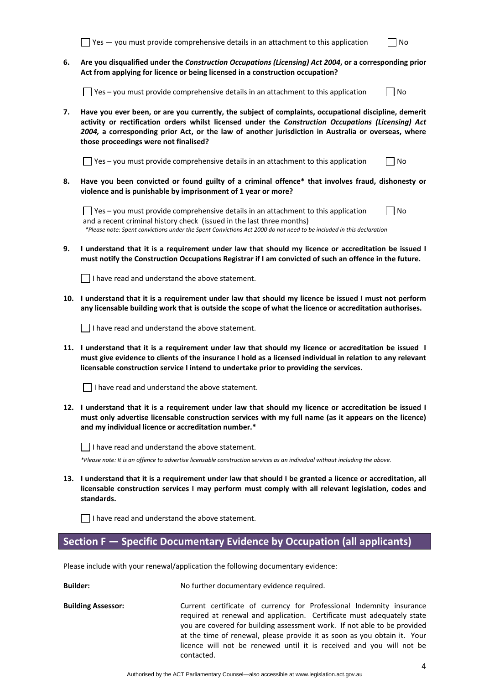|    | Yes - you must provide comprehensive details in an attachment to this application                                                                                                                                                                                                                                                                            | No |  |
|----|--------------------------------------------------------------------------------------------------------------------------------------------------------------------------------------------------------------------------------------------------------------------------------------------------------------------------------------------------------------|----|--|
| 6. | Are you disqualified under the Construction Occupations (Licensing) Act 2004, or a corresponding prior<br>Act from applying for licence or being licensed in a construction occupation?                                                                                                                                                                      |    |  |
|    | Yes - you must provide comprehensive details in an attachment to this application                                                                                                                                                                                                                                                                            | No |  |
| 7. | Have you ever been, or are you currently, the subject of complaints, occupational discipline, demerit<br>activity or rectification orders whilst licensed under the Construction Occupations (Licensing) Act<br>2004, a corresponding prior Act, or the law of another jurisdiction in Australia or overseas, where<br>those proceedings were not finalised? |    |  |
|    | Yes - you must provide comprehensive details in an attachment to this application                                                                                                                                                                                                                                                                            | No |  |
| 8. | Have you been convicted or found guilty of a criminal offence* that involves fraud, dishonesty or<br>violence and is punishable by imprisonment of 1 year or more?                                                                                                                                                                                           |    |  |
|    | Yes - you must provide comprehensive details in an attachment to this application<br>and a recent criminal history check (issued in the last three months)<br>*Please note: Spent convictions under the Spent Convictions Act 2000 do not need to be included in this declaration                                                                            | No |  |
| 9. | I understand that it is a requirement under law that should my licence or accreditation be issued I<br>must notify the Construction Occupations Registrar if I am convicted of such an offence in the future.                                                                                                                                                |    |  |
|    | I have read and understand the above statement.                                                                                                                                                                                                                                                                                                              |    |  |
|    | 10. I understand that it is a requirement under law that should my licence be issued I must not perform<br>any licensable building work that is outside the scope of what the licence or accreditation authorises.                                                                                                                                           |    |  |
|    | I have read and understand the above statement.                                                                                                                                                                                                                                                                                                              |    |  |
|    | 11. I understand that it is a requirement under law that should my licence or accreditation be issued I<br>must give evidence to clients of the insurance I hold as a licensed individual in relation to any relevant<br>licensable construction service I intend to undertake prior to providing the services.                                              |    |  |
|    | I have read and understand the above statement.                                                                                                                                                                                                                                                                                                              |    |  |
|    | 12. I understand that it is a requirement under law that should my licence or accreditation be issued I<br>must only advertise licensable construction services with my full name (as it appears on the licence)<br>and my individual licence or accreditation number.*                                                                                      |    |  |
|    | I have read and understand the above statement.                                                                                                                                                                                                                                                                                                              |    |  |
|    | *Please note: It is an offence to advertise licensable construction services as an individual without including the above.                                                                                                                                                                                                                                   |    |  |
|    | 13. I understand that it is a requirement under law that should I be granted a licence or accreditation, all<br>licensable construction services I may perform must comply with all relevant legislation, codes and<br>standards.                                                                                                                            |    |  |
|    | I have read and understand the above statement.                                                                                                                                                                                                                                                                                                              |    |  |
|    | Section F - Specific Documentary Evidence by Occupation (all applicants)                                                                                                                                                                                                                                                                                     |    |  |
|    | Please include with your renewal/application the following documentary evidence:                                                                                                                                                                                                                                                                             |    |  |
|    | <b>Builder:</b><br>No further documentary evidence required.                                                                                                                                                                                                                                                                                                 |    |  |

**Building Assessor:** Current certificate of currency for Professional Indemnity insurance required at renewal and application. Certificate must adequately state you are covered for building assessment work. If not able to be provided at the time of renewal, please provide it as soon as you obtain it. Your licence will not be renewed until it is received and you will not be contacted.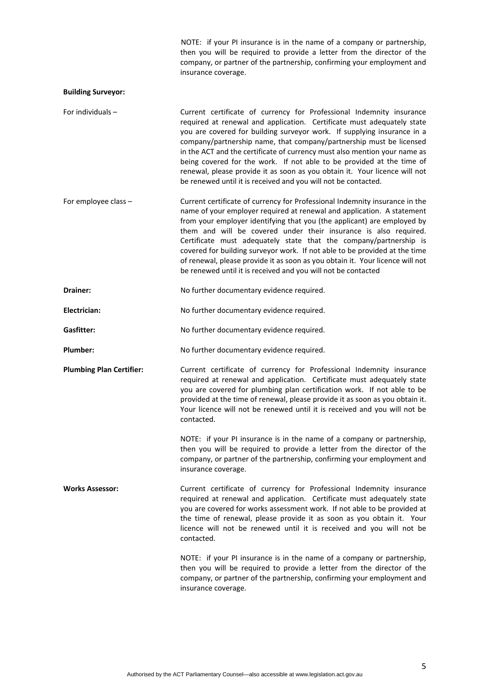NOTE: if your PI insurance is in the name of a company or partnership, then you will be required to provide a letter from the director of the company, or partner of the partnership, confirming your employment and insurance coverage.

### **Building Surveyor:**

- For individuals **Current certificate of currency for Professional Indemnity insurance** required at renewal and application. Certificate must adequately state you are covered for building surveyor work. If supplying insurance in a company/partnership name, that company/partnership must be licensed in the ACT and the certificate of currency must also mention your name as being covered for the work. If not able to be provided at the time of renewal, please provide it as soon as you obtain it. Your licence will not be renewed until it is received and you will not be contacted.
- For employee class Current certificate of currency for Professional Indemnity insurance in the name of your employer required at renewal and application. A statement from your employer identifying that you (the applicant) are employed by them and will be covered under their insurance is also required. Certificate must adequately state that the company/partnership is covered for building surveyor work. If not able to be provided at the time of renewal, please provide it as soon as you obtain it. Your licence will not be renewed until it is received and you will not be contacted
- Drainer: No further documentary evidence required.

Electrician: No further documentary evidence required.

Gasfitter: **Gasfitter: No further documentary evidence required.** 

Plumber: No further documentary evidence required.

**Plumbing Plan Certifier:** Current certificate of currency for Professional Indemnity insurance required at renewal and application. Certificate must adequately state you are covered for plumbing plan certification work. If not able to be provided at the time of renewal, please provide it as soon as you obtain it. Your licence will not be renewed until it is received and you will not be contacted.

> NOTE: if your PI insurance is in the name of a company or partnership, then you will be required to provide a letter from the director of the company, or partner of the partnership, confirming your employment and insurance coverage.

**Works Assessor:** Current certificate of currency for Professional Indemnity insurance required at renewal and application. Certificate must adequately state you are covered for works assessment work. If not able to be provided at the time of renewal, please provide it as soon as you obtain it. Your licence will not be renewed until it is received and you will not be contacted.

> NOTE: if your PI insurance is in the name of a company or partnership, then you will be required to provide a letter from the director of the company, or partner of the partnership, confirming your employment and insurance coverage.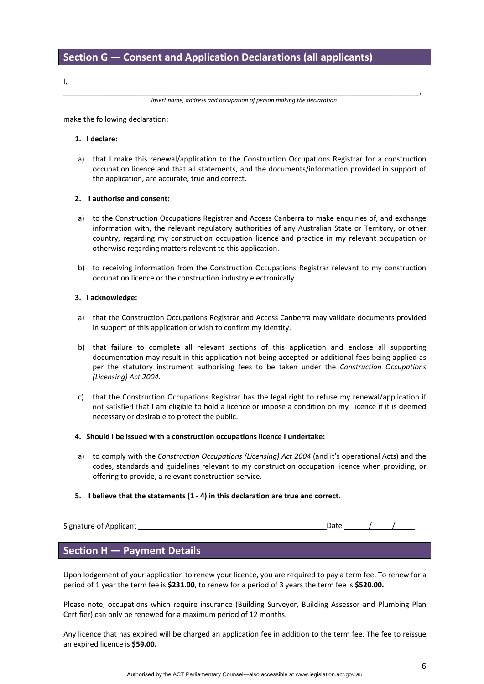I,

\_\_\_\_\_\_\_\_\_\_\_\_\_\_\_\_\_\_\_\_\_\_\_\_\_\_\_\_\_\_\_\_\_\_\_\_\_\_\_\_\_\_\_\_\_\_\_\_\_\_\_\_\_\_\_\_\_\_\_\_\_\_\_\_\_\_\_\_\_\_\_\_\_\_\_\_\_\_\_\_\_\_\_\_\_\_\_\_, *Insert name, address and occupation of person making the declaration*

make the following declaration**:**

### **1. I declare:**

a) that I make this renewal/application to the Construction Occupations Registrar for a construction occupation licence and that all statements, and the documents/information provided in support of the application, are accurate, true and correct.

### **2. I authorise and consent:**

- a) to the Construction Occupations Registrar and Access Canberra to make enquiries of, and exchange information with, the relevant regulatory authorities of any Australian State or Territory, or other country, regarding my construction occupation licence and practice in my relevant occupation or otherwise regarding matters relevant to this application.
- b) to receiving information from the Construction Occupations Registrar relevant to my construction occupation licence or the construction industry electronically.

### **3. I acknowledge:**

- a) that the Construction Occupations Registrar and Access Canberra may validate documents provided in support of this application or wish to confirm my identity.
- b) that failure to complete all relevant sections of this application and enclose all supporting documentation may result in this application not being accepted or additional fees being applied as per the statutory instrument authorising fees to be taken under the *Construction Occupations (Licensing) Act 2004.*
- c) that the Construction Occupations Registrar has the legal right to refuse my renewal/application if not satisfied that I am eligible to hold a licence or impose a condition on my licence if it is deemed necessary or desirable to protect the public.
- **4. Should I be issued with a construction occupations licence I undertake:**
- a) to comply with the *Construction Occupations (Licensing) Act 2004* (and it's operational Acts) and the codes, standards and guidelines relevant to my construction occupation licence when providing, or offering to provide, a relevant construction service.
- **5. I believe that the statements (1 ‐ 4) in this declaration are true and correct.**

Signature of Applicant *b*  $\overline{\phantom{a}}$  Date  $\overline{\phantom{a}}$  Date  $\overline{\phantom{a}}$  /

## **Section H — Payment Details**

Upon lodgement of your application to renew your licence, you are required to pay a term fee. To renew for a period of 1 year the term fee is **\$231.00**, to renew for a period of 3 years the term fee is **\$520.00.**

Please note, occupations which require insurance (Building Surveyor, Building Assessor and Plumbing Plan Certifier) can only be renewed for a maximum period of 12 months.

Any licence that has expired will be charged an application fee in addition to the term fee. The fee to reissue an expired licence is **\$59.00.**